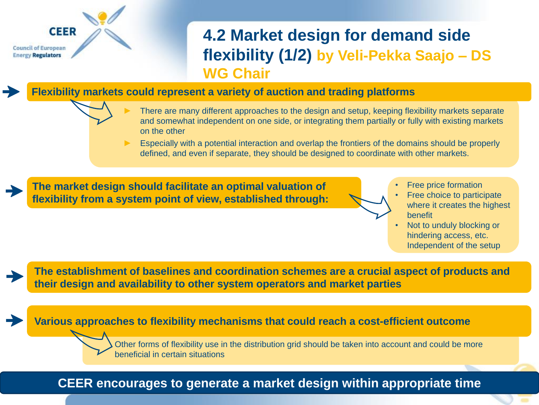# **CEER Council of European Energy Regulators**

## **4.2 Market design for demand side flexibility (1/2) by Veli-Pekka Saajo – DS WG Chair**

**Flexibility markets could represent a variety of auction and trading platforms** 

- There are many different approaches to the design and setup, keeping flexibility markets separate and somewhat independent on one side, or integrating them partially or fully with existing markets on the other
- ► Especially with a potential interaction and overlap the frontiers of the domains should be properly defined, and even if separate, they should be designed to coordinate with other markets.

**The market design should facilitate an optimal valuation of flexibility from a system point of view, established through:**

- Free price formation
- Free choice to participate where it creates the highest benefit
- Not to unduly blocking or hindering access, etc. Independent of the setup

**The establishment of baselines and coordination schemes are a crucial aspect of products and their design and availability to other system operators and market parties**

#### **Various approaches to flexibility mechanisms that could reach a cost-efficient outcome**

Other forms of flexibility use in the distribution grid should be taken into account and could be more beneficial in certain situations

## **CEER encourages to generate a market design within appropriate time**